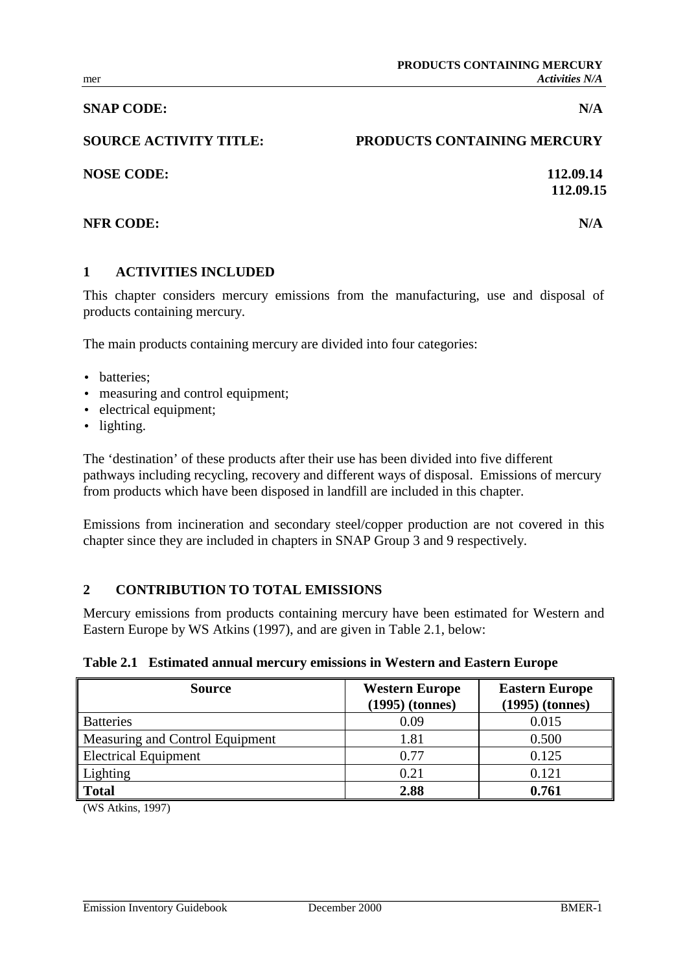## **SNAP CODE:** N/A

# **SOURCE ACTIVITY TITLE: PRODUCTS CONTAINING MERCURY**

**NOSE CODE:** 112.09.14

## **NFR CODE:** N/A

# **1 ACTIVITIES INCLUDED**

This chapter considers mercury emissions from the manufacturing, use and disposal of products containing mercury.

The main products containing mercury are divided into four categories:

- batteries:
- measuring and control equipment;
- electrical equipment;
- lighting.

The 'destination' of these products after their use has been divided into five different pathways including recycling, recovery and different ways of disposal. Emissions of mercury from products which have been disposed in landfill are included in this chapter.

Emissions from incineration and secondary steel/copper production are not covered in this chapter since they are included in chapters in SNAP Group 3 and 9 respectively.

## **2 CONTRIBUTION TO TOTAL EMISSIONS**

Mercury emissions from products containing mercury have been estimated for Western and Eastern Europe by WS Atkins (1997), and are given in Table 2.1, below:

|  |  |  |  |  | Table 2.1 Estimated annual mercury emissions in Western and Eastern Europe |  |  |
|--|--|--|--|--|----------------------------------------------------------------------------|--|--|
|--|--|--|--|--|----------------------------------------------------------------------------|--|--|

| <b>Source</b>                   | <b>Western Europe</b><br>$(1995)$ (tonnes) | <b>Eastern Europe</b><br>$(1995)$ (tonnes) |
|---------------------------------|--------------------------------------------|--------------------------------------------|
| <b>Batteries</b>                | 0.09                                       | 0.015                                      |
| Measuring and Control Equipment | 1.81                                       | 0.500                                      |
| <b>Electrical Equipment</b>     | 0.77                                       | 0.125                                      |
| Lighting                        | 0.21                                       | 0.121                                      |
| <b>Total</b>                    | 2.88                                       | 0.761                                      |

(WS Atkins, 1997)

**112.09.15**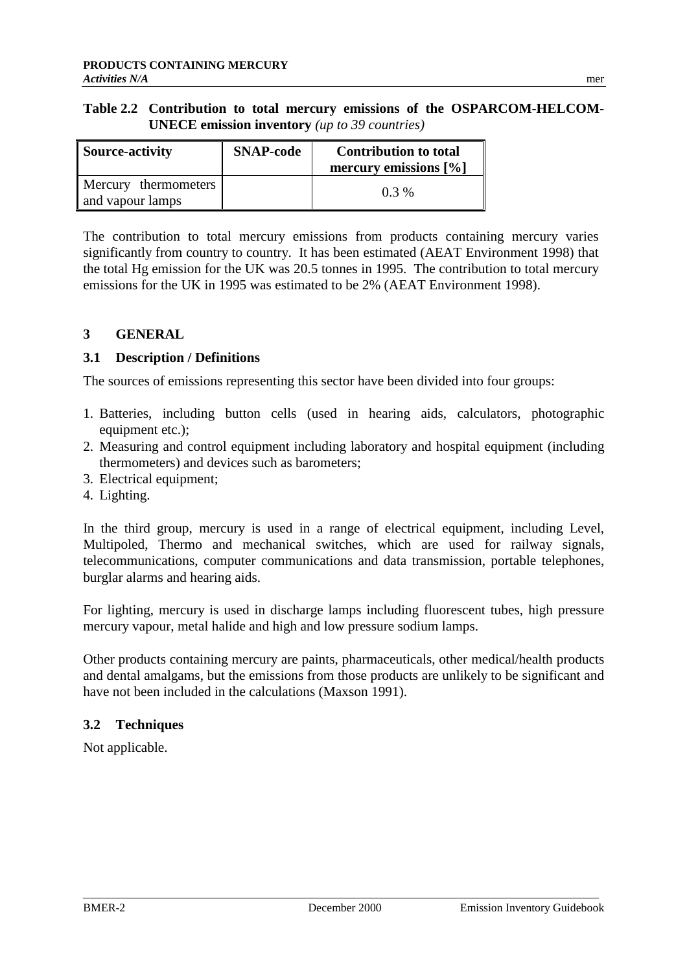| Table 2.2 Contribution to total mercury emissions of the OSPARCOM-HELCOM- |
|---------------------------------------------------------------------------|
| <b>UNECE emission inventory</b> (up to 39 countries)                      |

| <b>Source-activity</b>                   | <b>SNAP-code</b> | <b>Contribution to total</b><br>mercury emissions $[\%]$ |
|------------------------------------------|------------------|----------------------------------------------------------|
| Mercury thermometers<br>and vapour lamps |                  | $0.3\%$                                                  |

The contribution to total mercury emissions from products containing mercury varies significantly from country to country. It has been estimated (AEAT Environment 1998) that the total Hg emission for the UK was 20.5 tonnes in 1995. The contribution to total mercury emissions for the UK in 1995 was estimated to be 2% (AEAT Environment 1998).

# **3 GENERAL**

## **3.1 Description / Definitions**

The sources of emissions representing this sector have been divided into four groups:

- 1. Batteries, including button cells (used in hearing aids, calculators, photographic equipment etc.);
- 2. Measuring and control equipment including laboratory and hospital equipment (including thermometers) and devices such as barometers;
- 3. Electrical equipment;
- 4. Lighting.

In the third group, mercury is used in a range of electrical equipment, including Level, Multipoled, Thermo and mechanical switches, which are used for railway signals, telecommunications, computer communications and data transmission, portable telephones, burglar alarms and hearing aids.

For lighting, mercury is used in discharge lamps including fluorescent tubes, high pressure mercury vapour, metal halide and high and low pressure sodium lamps.

Other products containing mercury are paints, pharmaceuticals, other medical/health products and dental amalgams, but the emissions from those products are unlikely to be significant and have not been included in the calculations (Maxson 1991).

# **3.2 Techniques**

Not applicable.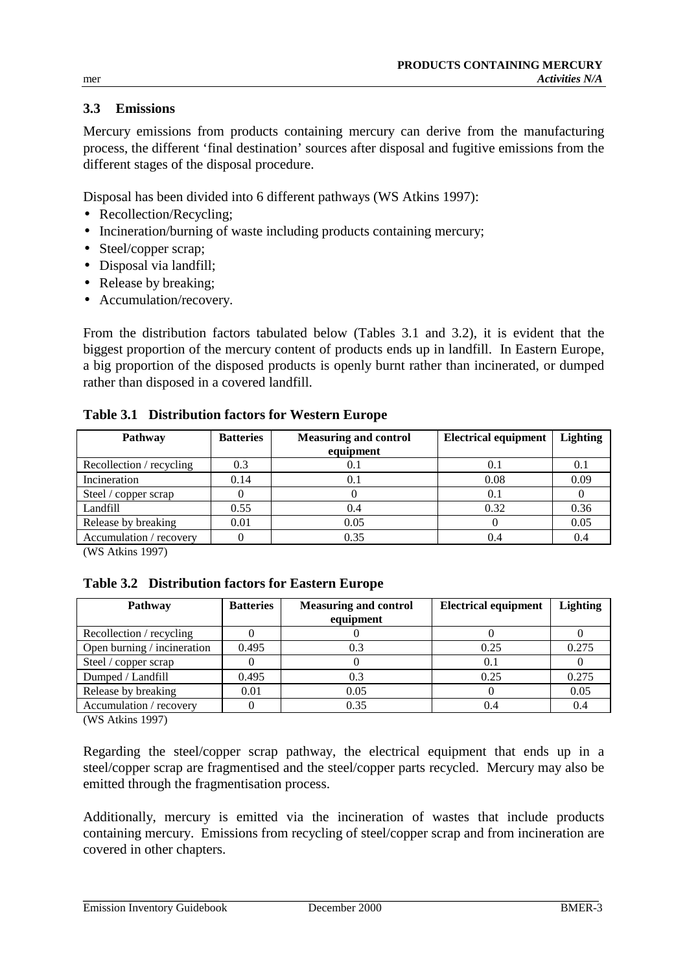## **3.3 Emissions**

Mercury emissions from products containing mercury can derive from the manufacturing process, the different 'final destination' sources after disposal and fugitive emissions from the different stages of the disposal procedure.

Disposal has been divided into 6 different pathways (WS Atkins 1997):

- Recollection/Recycling;
- Incineration/burning of waste including products containing mercury;
- Steel/copper scrap;
- Disposal via landfill;
- Release by breaking;
- Accumulation/recovery.

From the distribution factors tabulated below (Tables 3.1 and 3.2), it is evident that the biggest proportion of the mercury content of products ends up in landfill. In Eastern Europe, a big proportion of the disposed products is openly burnt rather than incinerated, or dumped rather than disposed in a covered landfill.

| Pathway                  | <b>Batteries</b> | <b>Measuring and control</b><br>equipment | <b>Electrical equipment</b> | <b>Lighting</b> |
|--------------------------|------------------|-------------------------------------------|-----------------------------|-----------------|
| Recollection / recycling | 0.3              | 0.1                                       | 0.1                         | 0.1             |
| Incineration             | 0.14             | 0.1                                       | 0.08                        | 0.09            |
| Steel / copper scrap     |                  |                                           | 0.1                         |                 |
| Landfill                 | 0.55             | 0.4                                       | 0.32                        | 0.36            |
| Release by breaking      | 0.01             | 0.05                                      |                             | 0.05            |
| Accumulation / recovery  |                  | 0.35                                      | 0.4                         | 0.4             |

#### **Table 3.1 Distribution factors for Western Europe**

(WS Atkins 1997)

#### **Table 3.2 Distribution factors for Eastern Europe**

| <b>Pathway</b>              | <b>Batteries</b> | <b>Measuring and control</b> | <b>Electrical equipment</b> | <b>Lighting</b> |
|-----------------------------|------------------|------------------------------|-----------------------------|-----------------|
|                             |                  | equipment                    |                             |                 |
| Recollection / recycling    |                  |                              |                             |                 |
| Open burning / incineration | 0.495            | 0.3                          | 0.25                        | 0.275           |
| Steel / copper scrap        |                  |                              | 0.1                         |                 |
| Dumped / Landfill           | 0.495            | 0.3                          | 0.25                        | 0.275           |
| Release by breaking         | 0.01             | 0.05                         |                             | 0.05            |
| Accumulation / recovery     |                  | 0.35                         | 0.4                         | 0.4             |
| $\lambda$                   |                  |                              |                             |                 |

(WS Atkins 1997)

Regarding the steel/copper scrap pathway, the electrical equipment that ends up in a steel/copper scrap are fragmentised and the steel/copper parts recycled. Mercury may also be emitted through the fragmentisation process.

Additionally, mercury is emitted via the incineration of wastes that include products containing mercury. Emissions from recycling of steel/copper scrap and from incineration are covered in other chapters.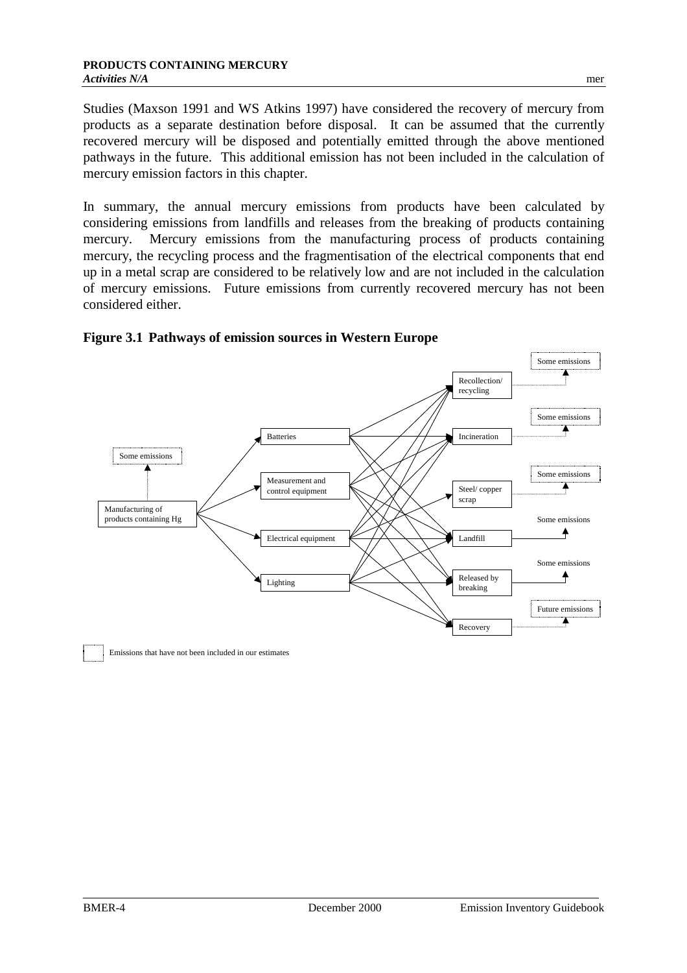Studies (Maxson 1991 and WS Atkins 1997) have considered the recovery of mercury from products as a separate destination before disposal. It can be assumed that the currently recovered mercury will be disposed and potentially emitted through the above mentioned pathways in the future. This additional emission has not been included in the calculation of mercury emission factors in this chapter.

In summary, the annual mercury emissions from products have been calculated by considering emissions from landfills and releases from the breaking of products containing mercury. Mercury emissions from the manufacturing process of products containing mercury, the recycling process and the fragmentisation of the electrical components that end up in a metal scrap are considered to be relatively low and are not included in the calculation of mercury emissions. Future emissions from currently recovered mercury has not been considered either.

#### **Figure 3.1 Pathways of emission sources in Western Europe**



Emissions that have not been included in our estimates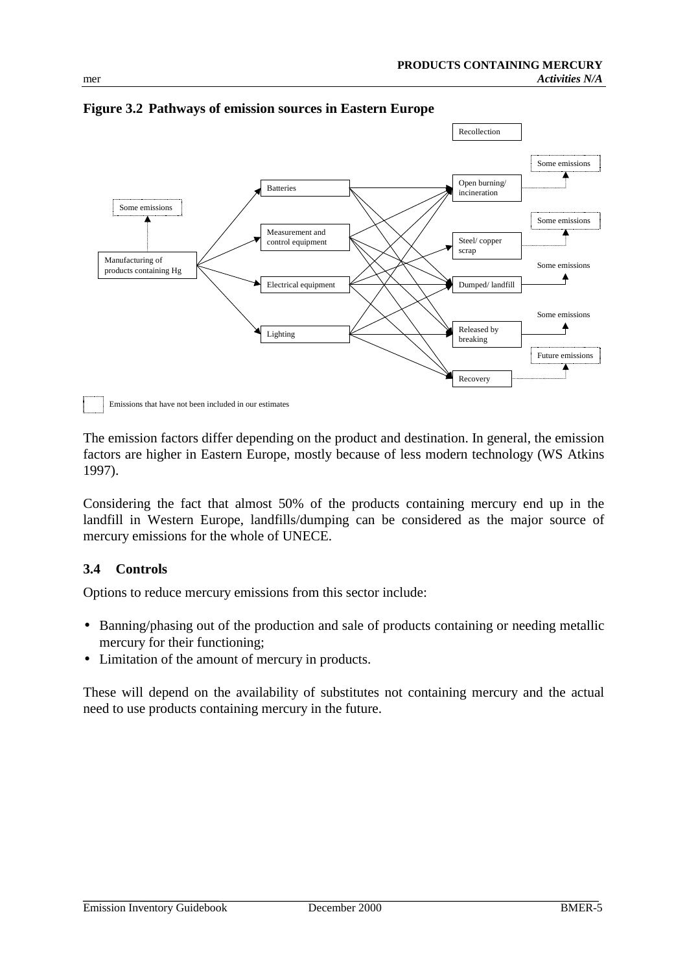

**Figure 3.2 Pathways of emission sources in Eastern Europe**

Emissions that have not been included in our estimates

The emission factors differ depending on the product and destination. In general, the emission factors are higher in Eastern Europe, mostly because of less modern technology (WS Atkins 1997).

Considering the fact that almost 50% of the products containing mercury end up in the landfill in Western Europe, landfills/dumping can be considered as the major source of mercury emissions for the whole of UNECE.

## **3.4 Controls**

Options to reduce mercury emissions from this sector include:

- Banning/phasing out of the production and sale of products containing or needing metallic mercury for their functioning;
- Limitation of the amount of mercury in products.

These will depend on the availability of substitutes not containing mercury and the actual need to use products containing mercury in the future.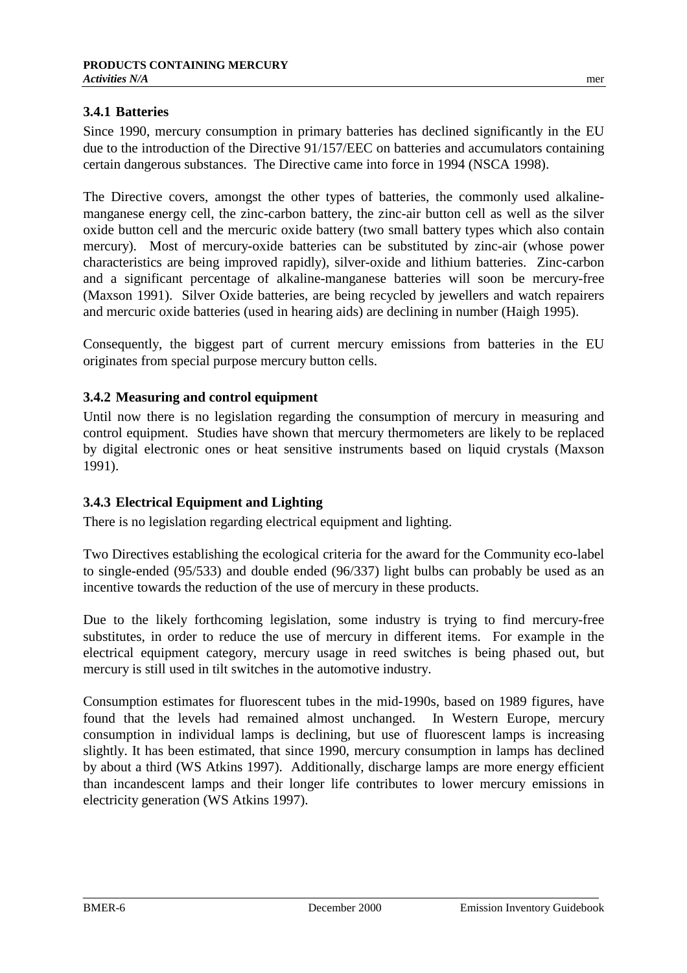## **3.4.1 Batteries**

Since 1990, mercury consumption in primary batteries has declined significantly in the EU due to the introduction of the Directive 91/157/EEC on batteries and accumulators containing certain dangerous substances. The Directive came into force in 1994 (NSCA 1998).

The Directive covers, amongst the other types of batteries, the commonly used alkalinemanganese energy cell, the zinc-carbon battery, the zinc-air button cell as well as the silver oxide button cell and the mercuric oxide battery (two small battery types which also contain mercury). Most of mercury-oxide batteries can be substituted by zinc-air (whose power characteristics are being improved rapidly), silver-oxide and lithium batteries. Zinc-carbon and a significant percentage of alkaline-manganese batteries will soon be mercury-free (Maxson 1991). Silver Oxide batteries, are being recycled by jewellers and watch repairers and mercuric oxide batteries (used in hearing aids) are declining in number (Haigh 1995).

Consequently, the biggest part of current mercury emissions from batteries in the EU originates from special purpose mercury button cells.

## **3.4.2 Measuring and control equipment**

Until now there is no legislation regarding the consumption of mercury in measuring and control equipment. Studies have shown that mercury thermometers are likely to be replaced by digital electronic ones or heat sensitive instruments based on liquid crystals (Maxson 1991).

## **3.4.3 Electrical Equipment and Lighting**

There is no legislation regarding electrical equipment and lighting.

Two Directives establishing the ecological criteria for the award for the Community eco-label to single-ended (95/533) and double ended (96/337) light bulbs can probably be used as an incentive towards the reduction of the use of mercury in these products.

Due to the likely forthcoming legislation, some industry is trying to find mercury-free substitutes, in order to reduce the use of mercury in different items. For example in the electrical equipment category, mercury usage in reed switches is being phased out, but mercury is still used in tilt switches in the automotive industry.

Consumption estimates for fluorescent tubes in the mid-1990s, based on 1989 figures, have found that the levels had remained almost unchanged. In Western Europe, mercury consumption in individual lamps is declining, but use of fluorescent lamps is increasing slightly. It has been estimated, that since 1990, mercury consumption in lamps has declined by about a third (WS Atkins 1997). Additionally, discharge lamps are more energy efficient than incandescent lamps and their longer life contributes to lower mercury emissions in electricity generation (WS Atkins 1997).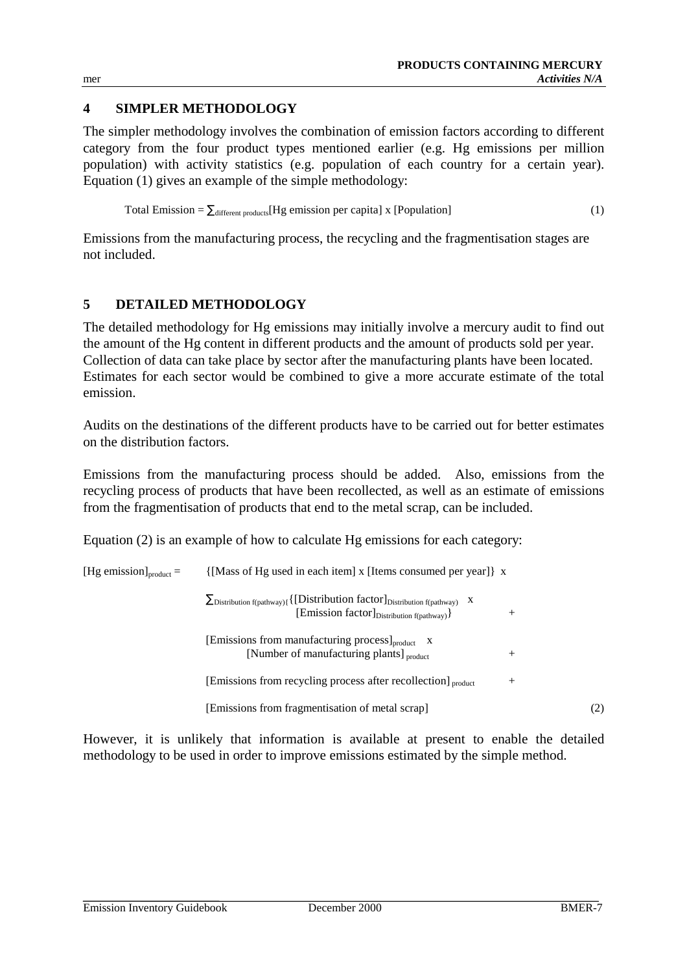# **4 SIMPLER METHODOLOGY**

The simpler methodology involves the combination of emission factors according to different category from the four product types mentioned earlier (e.g. Hg emissions per million population) with activity statistics (e.g. population of each country for a certain year). Equation (1) gives an example of the simple methodology:

Total Emission = 
$$
\sum_{different products} [Hg emission per capital] x [Population]
$$
 (1)

Emissions from the manufacturing process, the recycling and the fragmentisation stages are not included.

## **5 DETAILED METHODOLOGY**

The detailed methodology for Hg emissions may initially involve a mercury audit to find out the amount of the Hg content in different products and the amount of products sold per year. Collection of data can take place by sector after the manufacturing plants have been located. Estimates for each sector would be combined to give a more accurate estimate of the total emission.

Audits on the destinations of the different products have to be carried out for better estimates on the distribution factors.

Emissions from the manufacturing process should be added. Also, emissions from the recycling process of products that have been recollected, as well as an estimate of emissions from the fragmentisation of products that end to the metal scrap, can be included.

Equation (2) is an example of how to calculate Hg emissions for each category:

| [Hg emission] $_{product}$ = | {[Mass of Hg used in each item] x [Items consumed per year]} x                                                                                                                     |        |     |
|------------------------------|------------------------------------------------------------------------------------------------------------------------------------------------------------------------------------|--------|-----|
|                              | $\sum_{\text{Distribution f}(\text{pathway})\{\{\text{[Distribution factor]}}_{\text{Distribution f}(\text{pathway})}$ X<br>[Emission factor] <sub>Distribution f(pathway)</sub> } | $^{+}$ |     |
|                              | [Emissions from manufacturing process] <sub>product</sub> x<br>[Number of manufacturing plants] product                                                                            | $^{+}$ |     |
|                              | [Emissions from recycling process after recollection] <sub>product</sub>                                                                                                           | $^{+}$ |     |
|                              | [Emissions from fragmentisation of metal scrap]                                                                                                                                    |        | (2) |

However, it is unlikely that information is available at present to enable the detailed methodology to be used in order to improve emissions estimated by the simple method.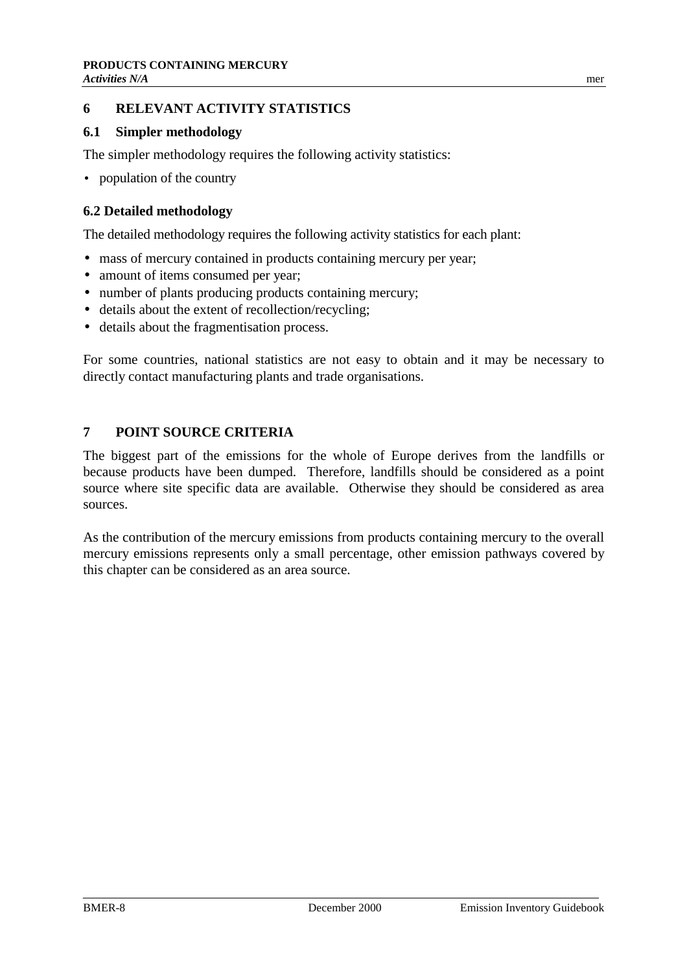## **6 RELEVANT ACTIVITY STATISTICS**

#### **6.1 Simpler methodology**

The simpler methodology requires the following activity statistics:

• population of the country

## **6.2 Detailed methodology**

The detailed methodology requires the following activity statistics for each plant:

- mass of mercury contained in products containing mercury per year;
- amount of items consumed per year:
- number of plants producing products containing mercury;
- details about the extent of recollection/recycling;
- details about the fragmentisation process.

For some countries, national statistics are not easy to obtain and it may be necessary to directly contact manufacturing plants and trade organisations.

# **7 POINT SOURCE CRITERIA**

The biggest part of the emissions for the whole of Europe derives from the landfills or because products have been dumped. Therefore, landfills should be considered as a point source where site specific data are available. Otherwise they should be considered as area sources.

As the contribution of the mercury emissions from products containing mercury to the overall mercury emissions represents only a small percentage, other emission pathways covered by this chapter can be considered as an area source.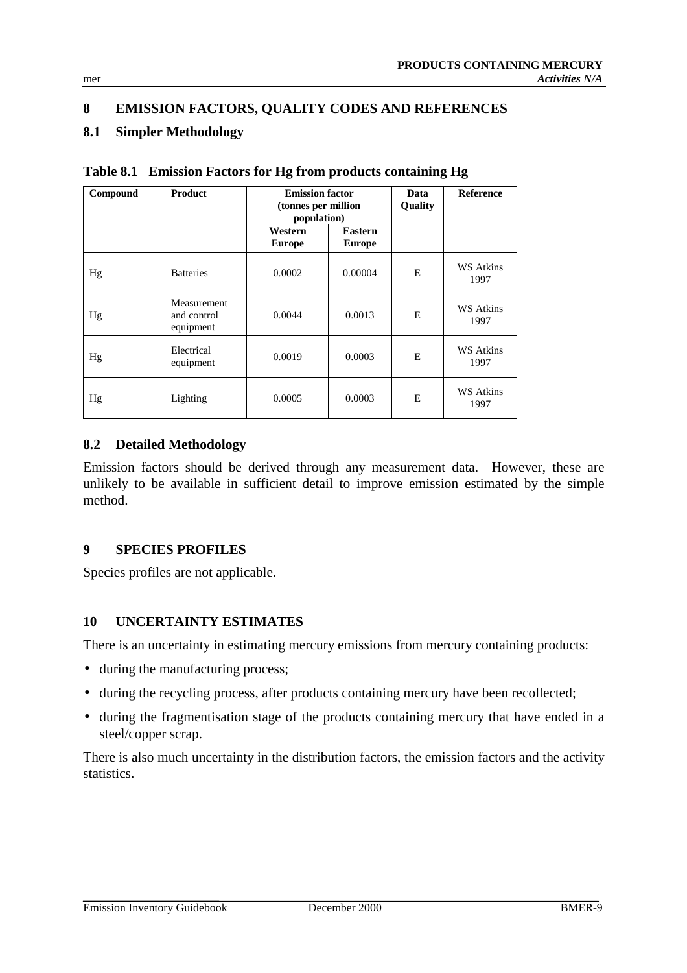# **8 EMISSION FACTORS, QUALITY CODES AND REFERENCES**

# **8.1 Simpler Methodology**

| Compound | <b>Product</b>                          | <b>Emission factor</b><br>(tonnes per million<br>population) |                                 | Data<br><b>Quality</b> | <b>Reference</b>         |
|----------|-----------------------------------------|--------------------------------------------------------------|---------------------------------|------------------------|--------------------------|
|          |                                         | Western<br><b>Europe</b>                                     | <b>Eastern</b><br><b>Europe</b> |                        |                          |
| Hg       | <b>Batteries</b>                        | 0.0002                                                       | 0.00004                         | E                      | WS Atkins<br>1997        |
| Hg       | Measurement<br>and control<br>equipment | 0.0044                                                       | 0.0013                          | Е                      | WS Atkins<br>1997        |
| Hg       | Electrical<br>equipment                 | 0.0019                                                       | 0.0003                          | E                      | <b>WS Atkins</b><br>1997 |
| Hg       | Lighting                                | 0.0005                                                       | 0.0003                          | E                      | WS Atkins<br>1997        |

**Table 8.1 Emission Factors for Hg from products containing Hg**

## **8.2 Detailed Methodology**

Emission factors should be derived through any measurement data. However, these are unlikely to be available in sufficient detail to improve emission estimated by the simple method.

## **9 SPECIES PROFILES**

Species profiles are not applicable.

## **10 UNCERTAINTY ESTIMATES**

There is an uncertainty in estimating mercury emissions from mercury containing products:

- during the manufacturing process;
- during the recycling process, after products containing mercury have been recollected;
- during the fragmentisation stage of the products containing mercury that have ended in a steel/copper scrap.

There is also much uncertainty in the distribution factors, the emission factors and the activity statistics.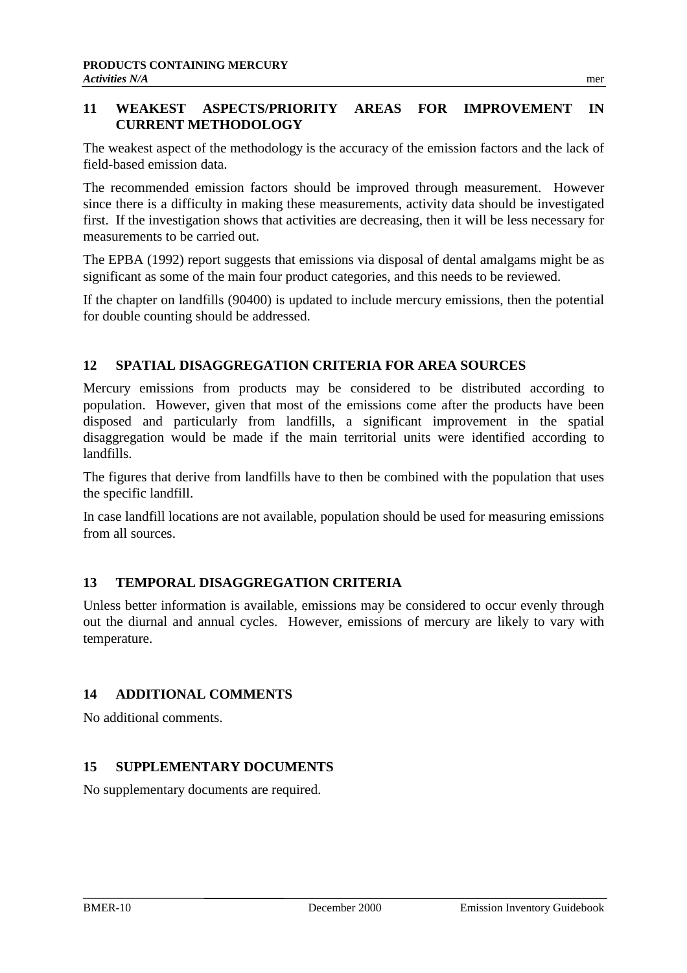## **11 WEAKEST ASPECTS/PRIORITY AREAS FOR IMPROVEMENT IN CURRENT METHODOLOGY**

The weakest aspect of the methodology is the accuracy of the emission factors and the lack of field-based emission data.

The recommended emission factors should be improved through measurement. However since there is a difficulty in making these measurements, activity data should be investigated first. If the investigation shows that activities are decreasing, then it will be less necessary for measurements to be carried out.

The EPBA (1992) report suggests that emissions via disposal of dental amalgams might be as significant as some of the main four product categories, and this needs to be reviewed.

If the chapter on landfills (90400) is updated to include mercury emissions, then the potential for double counting should be addressed.

# **12 SPATIAL DISAGGREGATION CRITERIA FOR AREA SOURCES**

Mercury emissions from products may be considered to be distributed according to population. However, given that most of the emissions come after the products have been disposed and particularly from landfills, a significant improvement in the spatial disaggregation would be made if the main territorial units were identified according to landfills.

The figures that derive from landfills have to then be combined with the population that uses the specific landfill.

In case landfill locations are not available, population should be used for measuring emissions from all sources.

## **13 TEMPORAL DISAGGREGATION CRITERIA**

Unless better information is available, emissions may be considered to occur evenly through out the diurnal and annual cycles. However, emissions of mercury are likely to vary with temperature.

## **14 ADDITIONAL COMMENTS**

No additional comments.

## **15 SUPPLEMENTARY DOCUMENTS**

No supplementary documents are required.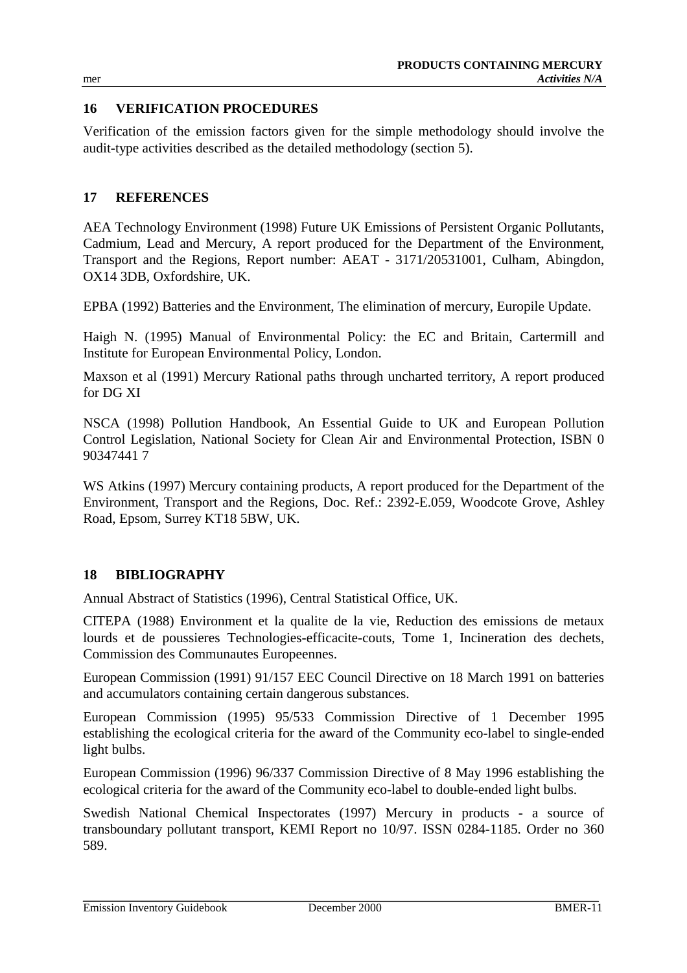## **16 VERIFICATION PROCEDURES**

Verification of the emission factors given for the simple methodology should involve the audit-type activities described as the detailed methodology (section 5).

#### **17 REFERENCES**

AEA Technology Environment (1998) Future UK Emissions of Persistent Organic Pollutants, Cadmium, Lead and Mercury, A report produced for the Department of the Environment, Transport and the Regions, Report number: AEAT - 3171/20531001, Culham, Abingdon, OX14 3DB, Oxfordshire, UK.

EPBA (1992) Batteries and the Environment, The elimination of mercury, Europile Update.

Haigh N. (1995) Manual of Environmental Policy: the EC and Britain, Cartermill and Institute for European Environmental Policy, London.

Maxson et al (1991) Mercury Rational paths through uncharted territory, A report produced for DG XI

NSCA (1998) Pollution Handbook, An Essential Guide to UK and European Pollution Control Legislation, National Society for Clean Air and Environmental Protection, ISBN 0 90347441 7

WS Atkins (1997) Mercury containing products, A report produced for the Department of the Environment, Transport and the Regions, Doc. Ref.: 2392-E.059, Woodcote Grove, Ashley Road, Epsom, Surrey KT18 5BW, UK.

## **18 BIBLIOGRAPHY**

Annual Abstract of Statistics (1996), Central Statistical Office, UK.

CITEPA (1988) Environment et la qualite de la vie, Reduction des emissions de metaux lourds et de poussieres Technologies-efficacite-couts, Tome 1, Incineration des dechets, Commission des Communautes Europeennes.

European Commission (1991) 91/157 EEC Council Directive on 18 March 1991 on batteries and accumulators containing certain dangerous substances.

European Commission (1995) 95/533 Commission Directive of 1 December 1995 establishing the ecological criteria for the award of the Community eco-label to single-ended light bulbs.

European Commission (1996) 96/337 Commission Directive of 8 May 1996 establishing the ecological criteria for the award of the Community eco-label to double-ended light bulbs.

Swedish National Chemical Inspectorates (1997) Mercury in products - a source of transboundary pollutant transport, KEMI Report no 10/97. ISSN 0284-1185. Order no 360 589.